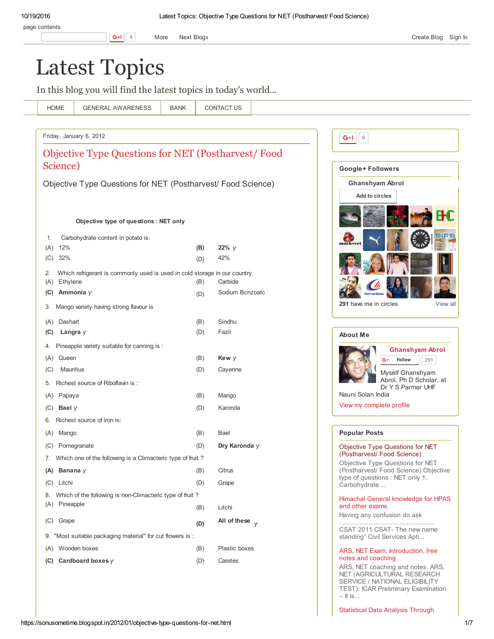# Latest [Topics](https://sonusometime.blogspot.in/)

In this blog you will find the latest topics in today's world...

| <b>HOME</b>          | <b>GENERAL AWARENESS</b>                                                  | <b>BANK</b> | <b>CONTACT US</b>      |                                                                                                   |
|----------------------|---------------------------------------------------------------------------|-------------|------------------------|---------------------------------------------------------------------------------------------------|
|                      |                                                                           |             |                        |                                                                                                   |
|                      | Friday, January 6, 2012                                                   |             |                        | G+1 $\leq 6$                                                                                      |
|                      | Objective Type Questions for NET (Postharvest/Food                        |             |                        |                                                                                                   |
| Science)             |                                                                           |             |                        | Google+Followers                                                                                  |
|                      | Objective Type Questions for NET (Postharvest/ Food Science)              |             |                        | <b>Ghanshyam Abrol</b>                                                                            |
|                      |                                                                           |             |                        | Add to circles                                                                                    |
|                      |                                                                           |             |                        |                                                                                                   |
|                      | Objective type of questions: NET only                                     |             |                        |                                                                                                   |
|                      |                                                                           |             |                        |                                                                                                   |
| 1.<br>12%<br>(A)     | Carbohydrate content in potato is:                                        | (B)         | 22% y                  | markve                                                                                            |
| 32%<br>(C)           |                                                                           | (D)         | 42%                    |                                                                                                   |
| 2.                   | Which refrigerant is commonly used is used in cold storage in our country |             |                        |                                                                                                   |
| Ethylene<br>(A)      |                                                                           | (B)         | Carbide                |                                                                                                   |
| (C)                  | Ammonia y                                                                 | (D)         | Sodium Bcnzoatc        |                                                                                                   |
| 3.                   | Mango variety having strong flavour is                                    |             |                        | 291 have me in circles                                                                            |
| Dashart<br>(A)       |                                                                           | (B)         | Sindhu                 |                                                                                                   |
| (C)                  | Langra $y$                                                                | (D)         | Fazli                  | <b>About Me</b>                                                                                   |
| 4.                   | Pineapple variety suitable for canning is :                               |             |                        | <b>Ghanshyam Abrol</b>                                                                            |
| Queen<br>(A)         |                                                                           | (B)         | Kew y                  | Follow<br>291<br>G+                                                                               |
| Mauritius<br>(C)     |                                                                           | (D)         | Cayenne                | Myself Ghanshyam                                                                                  |
| 5.                   | Richest source of Riboflavin is:                                          |             |                        | Abrol, Ph D Scholar, at<br>Dr Y S Parmar UHF                                                      |
| Papaya<br>(A)        |                                                                           | (B)         | Mango                  | Nauni Solan India                                                                                 |
| Bael $\gamma$<br>(C) |                                                                           | (D)         | Karonda                | View my complete profile                                                                          |
| 6.                   | Richest source of iron is:                                                |             |                        |                                                                                                   |
| Mango<br>(A)         |                                                                           | (B)         | Bael                   | <b>Popular Posts</b>                                                                              |
| (C)                  | Pomegranate                                                               | (D)         | Dry Karonda y          | Objective Type Questions for NET                                                                  |
|                      | 7. Which one of the following is a Climacteric type of fruit?             |             |                        | (Postharvest/ Food Science)<br>Objective Type Questions for NET                                   |
| (A) Banana $y$       |                                                                           | (B)         | Citrus                 | (Postharvest/ Food Science) Objective<br>type of questions : NET only 1.                          |
| (C) Litchi           |                                                                           | (D)         | Grape                  | Carbohydrate                                                                                      |
|                      | 8. Which of the following is non-Climacteric type of fruit?               |             |                        | Himachal General knowledge for HPAS                                                               |
| (A) Pineapple        |                                                                           | (B)         | Litchi                 | and other exams<br>Having any confusion do ask                                                    |
| (C) Grape            |                                                                           | (D)         | All of these $\sqrt{}$ |                                                                                                   |
|                      | 9. "Most suitable packaging material" for cut flowers is :                |             |                        | CSAT 2011 CSAT- The new name<br>standing" Civil Services Apti                                     |
| (A) Wooden boxes     |                                                                           | (B)         | Plastic boxes          | ARS, NET Exam, Introduction, free                                                                 |
|                      | (C) Cardboard boxes $\vee$                                                | (D)         | Caretes                | notes and coaching                                                                                |
|                      |                                                                           |             |                        | ARS, NET coaching and notes. ARS,<br>NET (AGRICULTURAL RESEARCH<br>SERVICE / NATIONAL ELIGIBILITY |

TEST): ICAR Preliminary Examination

[Statistical](https://sonusometime.blogspot.in/2011/10/statistical-data-analysis-through-agris.html) Data Analysis Through

– It is...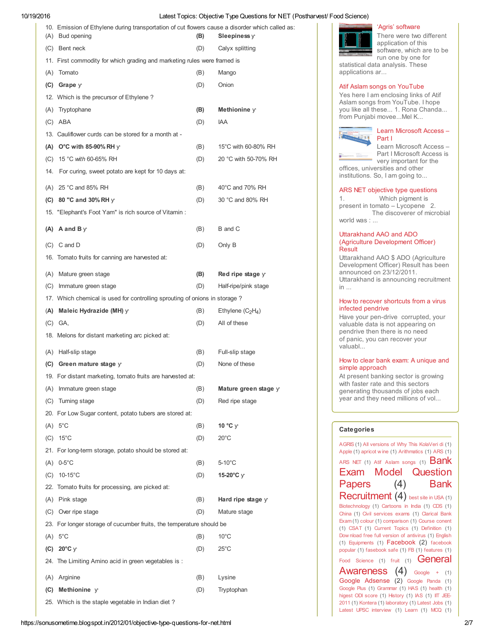| 10. Emission of Ethylene during transportation of cut flowers cause a disorder which called as:<br>(A) Bud opening | (B) | Sleepiness $\vee$    |
|--------------------------------------------------------------------------------------------------------------------|-----|----------------------|
| (C) Bent neck                                                                                                      | (D) | Calyx splitting      |
| 11. First commodity for which grading and marketing rules were framed is                                           |     |                      |
| (A) Tomato                                                                                                         | (B) | Mango                |
| $(C)$ Grape $y$                                                                                                    | (D) | Onion                |
| 12. Which is the precursor of Ethylene?                                                                            |     |                      |
| (A) Tryptophane                                                                                                    | (B) | Methionine $y$       |
| $(C)$ ABA                                                                                                          | (D) | IAA                  |
| 13. Cauliflower curds can be stored for a month at -                                                               |     |                      |
| (A) O°C with 85-90% RH $\vee$                                                                                      | (B) | 15°C with 60-80% RH  |
| (C) 15 °C with 60-65% RH                                                                                           | (D) | 20 °C with 50-70% RH |
| 14. For curing, sweet potato are kept for 10 days at:                                                              |     |                      |
| (A) 25 °C and 85% RH                                                                                               | (B) | 40°C and 70% RH      |
| (C) 80 "C and 30% RH $\gamma$                                                                                      | (D) | 30 °C and 80% RH     |
| 15. "Elephant's Foot Yam" is rich source of Vitamin:                                                               |     |                      |
|                                                                                                                    |     |                      |
| (A) A and B $\vee$                                                                                                 | (B) | B and C              |
| $(C)$ C and D                                                                                                      | (D) | Only B               |
| 16. Tomato fruits for canning are harvested at:                                                                    |     |                      |
| (A) Mature green stage                                                                                             | (B) | Red ripe stage y     |
| (C) Immature green stage                                                                                           | (D) | Half-ripe/pink stage |
| 17. Which chemical is used for controlling sprouting of onions in storage?                                         |     |                      |
| (A) Maleic Hydrazide (MH) $\gamma$                                                                                 | (B) | Ethylene $(C_2H_4)$  |
| $(C)$ GA,                                                                                                          | (D) | All of these         |
| 18. Melons for distant marketing arc picked at:                                                                    |     |                      |
| (A) Half-slip stage                                                                                                | (B) | Full-slip stage      |
| (C) Green mature stage $y$                                                                                         | (D) | None of these        |
| 19. For distant marketing, tomato fruits are harvested at:                                                         |     |                      |
| (A) Immature green stage                                                                                           | (B) | Mature green stage y |
| (C) Turning stage                                                                                                  | (D) | Red ripe stage       |
| 20. For Low Sugar content, potato tubers are stored at:                                                            |     |                      |
| $(A) 5^{\circ}C$                                                                                                   | (B) | 10 $\degree$ C y     |
| $(C)$ 15°C                                                                                                         | (D) | $20^{\circ}$ C       |
| 21. For long-term storage, potato should be stored at:                                                             |     |                      |
| $(A)$ 0-5°C                                                                                                        | (B) | $5-10^{\circ}$ C     |
| $(C)$ 10-15°C                                                                                                      | (D) | 15-20°C y            |
| 22. Tomato fruits for processing, are picked at:                                                                   |     |                      |
| (A) Pink stage                                                                                                     | (B) | Hard ripe stage y    |
| (C) Over ripe stage                                                                                                | (D) | Mature stage         |
| 23. For longer storage of cucumber fruits, the temperature should be                                               |     |                      |
| $(A) 5^{\circ}C$                                                                                                   | (B) | $10^{\circ}$ C       |
| (C) $20^{\circ}$ C $\vee$                                                                                          | (D) | $25^{\circ}$ C       |
| 24. The Limiting Amino acid in green vegetables is :                                                               |     |                      |
| (A) Arginine                                                                                                       | (B) | Lysine               |
| (C) Methionine y                                                                                                   | (D) | Tryptophan           |
| 25. Which is the staple vegetable in Indian diet?                                                                  |     |                      |



'Agris' [software](https://sonusometime.blogspot.in/2011/10/statistical-data-analysis-through-agris.html)

There were two different application of this software, which are to be run one by one for statistical data analysis. These applications ar...

Atif Aslam songs on [YouTube](https://sonusometime.blogspot.in/2012/02/atif-aslam-songs-on-youtube.html)

Yes here I am enclosing links of Atif Aslam songs from YouTube. I hope you like all these... 1. Rona Chanda... from Punjabi movee...Mel K...



Learn [Microsoft](https://sonusometime.blogspot.in/2011/12/learn-microsoft-access-part-i.html) Access – Part I

Learn Microsoft Access – Part I Microsoft Access is very important for the

offices, universities and other institutions. So, I am going to...

#### ARS NET objective type [questions](https://sonusometime.blogspot.in/2013/04/ars-net-objective-type-questions.html)

1. Which pigment is present in tomato – Lycopene 2. The discoverer of microbial world was : ...

### Uttarakhand AAO and ADO (Agriculture [Development](https://sonusometime.blogspot.in/2011/12/uttarakhand-ado-agriculture-development.html) Officer) Result

Uttarakhand AAO \$ ADO (Agriculture Development Officer) Result has been announced on 23/12/2011. Uttarakhand is announcing recruitment in ...

### How to recover [shortcuts](https://sonusometime.blogspot.in/2011/05/how-to-recover-shortcuts-from-virous.html) from a virus infected pendrive

Have your pen-drive corrupted, your valuable data is not appearing on pendrive then there is no need of panic, you can recover your valuabl...

#### How to clear bank exam: A unique and simple [approach](https://sonusometime.blogspot.in/2011/09/how-to-clear-bank-exam-unique-and.html)

At present banking sector is growing with faster rate and this sectors generating thousands of jobs each year and they need millions of vol...

### **Categories**

[ARS](https://sonusometime.blogspot.in/search/label/ARS%20NET) NET (1) Atif [Aslam](https://sonusometime.blogspot.in/search/label/Atif%20Aslam%20songs) songs (1)  $Bank$ Exam Model [Question](https://sonusometime.blogspot.in/search/label/Bank%20Exam%20Model%20Question%20Papers) Papers (4) Bank [Recruitment](https://sonusometime.blogspot.in/search/label/Bank%20Recruitment) (4) best site in [USA](https://sonusometime.blogspot.in/search/label/best%20site%20in%20USA) (1) (1) Equipments (1) [Facebook](https://sonusometime.blogspot.in/search/label/Facebook) (2) facebook Food [Science](https://sonusometime.blogspot.in/search/label/Food%20Science) (1) [fruit](https://sonusometime.blogspot.in/search/label/fruit) (1) **General** [Awareness](https://sonusometime.blogspot.in/search/label/General%20Awareness) (4) [Google](https://sonusometime.blogspot.in/search/label/Google%20%2B) + (1) Google [Adsense](https://sonusometime.blogspot.in/search/label/Google%20Adsense) (2) [Google](https://sonusometime.blogspot.in/search/label/Google%20Panda) Panda (1) [AGRIS](https://sonusometime.blogspot.in/search/label/AGRIS) (1) All [versions](https://sonusometime.blogspot.in/search/label/All%20versions%20of%20Why%20This%20KolaVeri%20di) of Why This KolaVeri di (1) [Apple](https://sonusometime.blogspot.in/search/label/Apple) (1) [apricot](https://sonusometime.blogspot.in/search/label/apricot%20wine) w ine (1) [Arithmatics](https://sonusometime.blogspot.in/search/label/Arithmatics) (1) [ARS](https://sonusometime.blogspot.in/search/label/ARS) (1) [Biotechnology](https://sonusometime.blogspot.in/search/label/Biotechnology) (1) [Cartoons](https://sonusometime.blogspot.in/search/label/Cartoons%20in%20India) in India (1) [CDS](https://sonusometime.blogspot.in/search/label/CDS) (1) [China](https://sonusometime.blogspot.in/search/label/China) (1) Civil [services](https://sonusometime.blogspot.in/search/label/Civil%20services%20exams) exams (1) Clarical Bank Exam (1) [colour](https://sonusometime.blogspot.in/search/label/colour) (1) [comparison](https://sonusometime.blogspot.in/search/label/Clarical%20Bank%20Exam) (1) [Course](https://sonusometime.blogspot.in/search/label/Course%20conent) conent (1) [CSAT](https://sonusometime.blogspot.in/search/label/CSAT) (1) [Current](https://sonusometime.blogspot.in/search/label/Current%20Topics) Topics (1) [Definition](https://sonusometime.blogspot.in/search/label/Definition) (1) Dow nload free full version of [antivirus](https://sonusometime.blogspot.in/search/label/Download%20free%20full%20version%20of%20antivirus) (1) [English](https://sonusometime.blogspot.in/search/label/English) popular (1) [fasebook](https://sonusometime.blogspot.in/search/label/fasebook%20safe) safe (1) [FB](https://sonusometime.blogspot.in/search/label/FB) (1) [features](https://sonusometime.blogspot.in/search/label/features) (1) [Google](https://sonusometime.blogspot.in/search/label/Google%20Plus) Plus (1) [Grammar](https://sonusometime.blogspot.in/search/label/Grammar) (1) [HAS](https://sonusometime.blogspot.in/search/label/HAS) (1) [health](https://sonusometime.blogspot.in/search/label/health) (1) [higest](https://sonusometime.blogspot.in/search/label/higest%20ODI%20score) ODI score (1) [History](https://sonusometime.blogspot.in/search/label/History) (1) [IAS](https://sonusometime.blogspot.in/search/label/IAS) (1) IIT JEE-2011 (1) [Kontera](https://sonusometime.blogspot.in/search/label/Kontera) (1) [laboratory](https://sonusometime.blogspot.in/search/label/IIT%20JEE-2011) (1) [Latest](https://sonusometime.blogspot.in/search/label/Latest%20Jobs) Jobs (1) Latest UPSC [interview](https://sonusometime.blogspot.in/search/label/Latest%20UPSC%20interview) (1) [Learn](https://sonusometime.blogspot.in/search/label/Learn) (1) [MCQ](https://sonusometime.blogspot.in/search/label/MCQ) (1)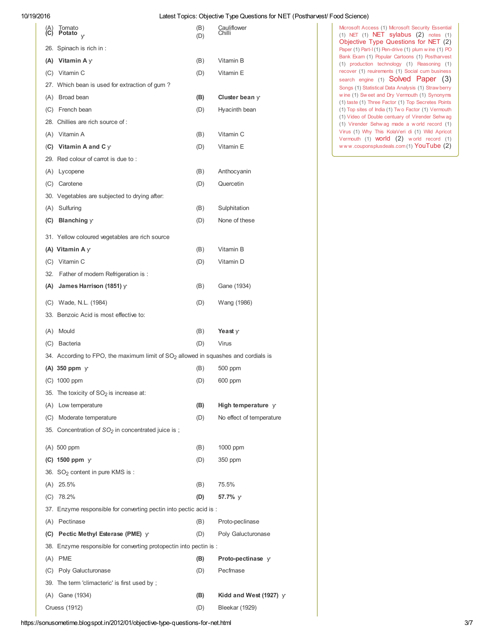| $\overline{\mathbf{c}}$ | Tomato<br>Potato $\sqrt{ }$                                                                    | (B)<br>(D) | Cauliflower<br>Chilli         | Microsoft Access (1) Microsoft Security Essential<br>$(1)$ NET $(1)$ NET sylabus $(2)$ notes $(1)$<br>Objective Type Questions for NET (2) |
|-------------------------|------------------------------------------------------------------------------------------------|------------|-------------------------------|--------------------------------------------------------------------------------------------------------------------------------------------|
|                         | 26. Spinach is rich in:                                                                        |            |                               | Paper (1) Part-1(1) Pen-drive (1) plum wine (1) PO<br>Bank Exam (1) Popular Cartoons (1) Postharvest                                       |
|                         | (A) Vitamin A $\gamma$                                                                         | (B)        | Vitamin B                     | (1) production technology (1) Reasoning (1)                                                                                                |
|                         | (C) Vitamin C                                                                                  | (D)        | Vitamin E                     | recover (1) reuirements (1) Social cum business<br>search engine (1) Solved Paper (3)                                                      |
|                         | 27. Which bean is used for extraction of gum?                                                  |            |                               | Songs (1) Statistical Data Analysis (1) Straw berry                                                                                        |
|                         | (A) Broad bean                                                                                 | (B)        | Cluster bean $\gamma$         | wine (1) Sweet and Dry Vermouth (1) Synonyms<br>(1) taste (1) Three Factor (1) Top Secretes Points                                         |
| (C)                     | French bean                                                                                    | (D)        | Hyacinth bean                 | (1) Top sites of India (1) Two Factor (1) Vermouth<br>(1) Video of Double centuary of Virender Sehw ag                                     |
|                         | 28. Chillies are rich source of:                                                               |            |                               | (1) Virender Sehwag made a world record (1)                                                                                                |
|                         | (A) Vitamin A                                                                                  | (B)        | Vitamin C                     | Virus (1) Why This KolaVeri di (1) Wild Apricot<br>Vermouth $(1)$ <b>world</b> $(2)$ world record $(1)$                                    |
|                         | (C) Vitamin A and C $\vee$                                                                     | (D)        | Vitamin E                     | www.couponsplusdeals.com(1) YouTube (2)                                                                                                    |
|                         | 29. Red colour of carrot is due to:                                                            |            |                               |                                                                                                                                            |
| (A)                     | Lycopene                                                                                       | (B)        | Anthocyanin                   |                                                                                                                                            |
| (C)                     | Carotene                                                                                       | (D)        | Quercetin                     |                                                                                                                                            |
|                         | 30. Vegetables are subjected to drying after:                                                  |            |                               |                                                                                                                                            |
|                         | (A) Sulfuring                                                                                  | (B)        | Sulphitation                  |                                                                                                                                            |
| (C)                     | <b>Blanching</b> $\gamma$                                                                      | (D)        | None of these                 |                                                                                                                                            |
|                         | 31. Yellow coloured vegetables are rich source                                                 |            |                               |                                                                                                                                            |
|                         | (A) Vitamin A $\gamma$                                                                         | (B)        | Vitamin B                     |                                                                                                                                            |
|                         | (C) Vitamin C                                                                                  | (D)        | Vitamin D                     |                                                                                                                                            |
| 32.                     | Father of modern Refrigeration is:                                                             |            |                               |                                                                                                                                            |
| (A)                     | James Harrison (1851) $\gamma$                                                                 | (B)        | Gane (1934)                   |                                                                                                                                            |
| (C)                     | Wade, N.L. (1984)                                                                              | (D)        | Wang (1986)                   |                                                                                                                                            |
|                         | 33. Benzoic Acid is most effective to:                                                         |            |                               |                                                                                                                                            |
| (A)                     | Mould                                                                                          | (B)        | Yeast y                       |                                                                                                                                            |
| (C)                     | Bacteria                                                                                       | (D)        | Virus                         |                                                                                                                                            |
|                         | 34. According to FPO, the maximum limit of SO <sub>2</sub> allowed in squashes and cordials is |            |                               |                                                                                                                                            |
|                         | (A) 350 ppm $\gamma$                                                                           | (B)        | 500 ppm                       |                                                                                                                                            |
|                         | (C) 1000 ppm                                                                                   | (D)        | 600 ppm                       |                                                                                                                                            |
|                         | 35. The toxicity of SO <sub>2</sub> is increase at:                                            |            |                               |                                                                                                                                            |
| (A)                     | Low temperature                                                                                | (B)        | High temperature $\gamma$     |                                                                                                                                            |
| (C)                     | Moderate temperature                                                                           | (D)        | No effect of temperature      |                                                                                                                                            |
|                         | 35. Concentration of SO <sub>2</sub> in concentrated juice is;                                 |            |                               |                                                                                                                                            |
|                         | (A) 500 ppm                                                                                    | (B)        | 1000 ppm                      |                                                                                                                                            |
|                         | (C) 1500 ppm $y$                                                                               | (D)        | 350 ppm                       |                                                                                                                                            |
|                         | 36. SO <sub>2</sub> content in pure KMS is :                                                   |            |                               |                                                                                                                                            |
|                         | $(A)$ 25.5%                                                                                    | (B)        | 75.5%                         |                                                                                                                                            |
|                         | $(C)$ 78.2%                                                                                    | (D)        | 57.7% y                       |                                                                                                                                            |
|                         | 37. Enzyme responsible for converting pectin into pectic acid is :                             |            |                               |                                                                                                                                            |
|                         | (A) Pectinase                                                                                  | (B)        | Proto-peclinase               |                                                                                                                                            |
|                         | (C) Pectic Methyl Esterase (PME) $\gamma$                                                      | (D)        | Poly Galucturonase            |                                                                                                                                            |
|                         | 38. Enzyme responsible for converting protopectin into pectin is:                              |            |                               |                                                                                                                                            |
|                         | (A) PME                                                                                        | (B)        | <b>Proto-pectinase</b> y      |                                                                                                                                            |
| (C)                     | Poly Galucturonase                                                                             | (D)        | Pecfmase                      |                                                                                                                                            |
|                         | 39. The term 'climacteric' is first used by;                                                   |            |                               |                                                                                                                                            |
|                         | (A) Gane (1934)                                                                                | (B)        | Kidd and West (1927) $\gamma$ |                                                                                                                                            |
|                         | <b>Cruess (1912)</b>                                                                           | (D)        | <b>Bleekar (1929)</b>         |                                                                                                                                            |
|                         |                                                                                                |            |                               |                                                                                                                                            |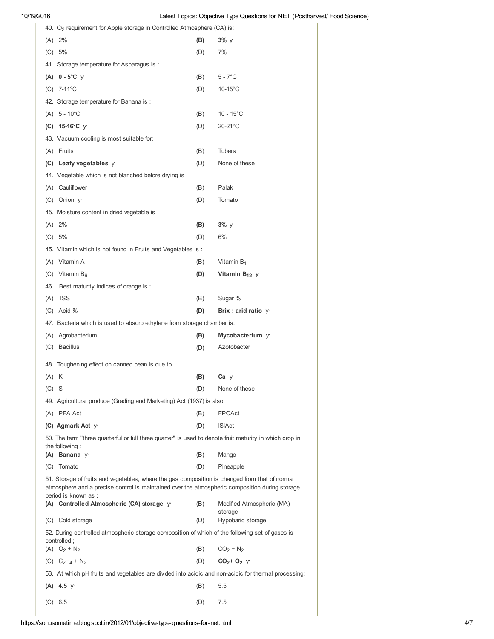|         | 40. O <sub>2</sub> requirement for Apple storage in Controlled Atmosphere (CA) is:                                        |     |                           |
|---------|---------------------------------------------------------------------------------------------------------------------------|-----|---------------------------|
|         | $(A) 2\%$                                                                                                                 | (B) | 3%y                       |
|         | (C) 5%                                                                                                                    | (D) | 7%                        |
|         | 41. Storage temperature for Asparagus is:                                                                                 |     |                           |
|         | (A) $0 - 5^{\circ}C$ y                                                                                                    | (B) | $5 - 7^\circ C$           |
|         | $(C)$ 7-11°C                                                                                                              | (D) | $10-15^{\circ}$ C         |
|         | 42. Storage temperature for Banana is:                                                                                    |     |                           |
|         | $(A) 5 - 10^{\circ}C$                                                                                                     | (B) | $10 - 15^{\circ}$ C       |
|         | (C) $15-16^{\circ}$ C y                                                                                                   | (D) | 20-21°C                   |
|         | 43. Vacuum cooling is most suitable for:                                                                                  |     |                           |
|         | (A) Fruits                                                                                                                | (B) | <b>Tubers</b>             |
|         | (C) Leafy vegetables $y$                                                                                                  | (D) | None of these             |
|         | 44. Vegetable which is not blanched before drying is :                                                                    |     |                           |
|         | (A) Cauliflower                                                                                                           | (B) | Palak                     |
|         | (C) Onion y                                                                                                               | (D) | Tomato                    |
|         | 45. Moisture content in dried vegetable is                                                                                |     |                           |
|         | $(A) 2\%$                                                                                                                 | (B) | $3\%$ y                   |
|         | (C) 5%                                                                                                                    | (D) | 6%                        |
|         | 45. Vitamin which is not found in Fruits and Vegetables is:                                                               |     |                           |
|         | (A) Vitamin A                                                                                                             | (B) | Vitamin B <sub>1</sub>    |
|         | (C) Vitamin $B_6$                                                                                                         | (D) | Vitamin $B_{12}$ y        |
|         | 46. Best maturity indices of orange is:                                                                                   |     |                           |
|         | $(A)$ TSS                                                                                                                 | (B) | Sugar %                   |
|         | $(C)$ Acid %                                                                                                              | (D) | Brix : arid ratio $y$     |
|         | 47. Bacteria which is used to absorb ethylene from storage chamber is:                                                    |     |                           |
|         | (A) Agrobacterium                                                                                                         | (B) | Mycobacterium y           |
|         | (C) Bacillus                                                                                                              | (D) | Azotobacter               |
|         |                                                                                                                           |     |                           |
|         | 48. Toughening effect on canned bean is due to                                                                            |     |                           |
| $(A)$ K |                                                                                                                           | (B) | Ca ƴ                      |
| $(C)$ S |                                                                                                                           | (D) | None of these             |
|         | 49. Agricultural produce (Grading and Marketing) Act (1937) is also                                                       |     |                           |
|         | (A) PFA Act                                                                                                               | (B) | <b>FPOAct</b>             |
|         | (C) Agmark Act y                                                                                                          | (D) | <b>ISIAct</b>             |
|         | 50. The term "three quarterful or full three quarter" is used to denote fruit maturity in which crop in<br>the following: |     |                           |
|         | $(A)$ Banana $\gamma$                                                                                                     | (B) | Mango                     |
|         | (C) Tomato                                                                                                                | (D) | Pineapple                 |
|         | 51. Storage of fruits and vegetables, where the gas composition is changed from that of normal                            |     |                           |
|         | atmosphere and a precise control is maintained over the atmospheric composition during storage                            |     |                           |
|         | period is known as :<br>(A) Controlled Atmospheric (CA) storage y                                                         | (B) | Modified Atmospheric (MA) |
|         |                                                                                                                           |     | storage                   |
|         | (C) Cold storage                                                                                                          | (D) | Hypobaric storage         |
|         | 52. During controlled atmospheric storage composition of which of the following set of gases is<br>controlled;            |     |                           |
|         | (A) $O_2 + N_2$                                                                                                           | (B) | $CO_2 + N_2$              |
|         | (C) $C_2H_4 + N_2$                                                                                                        | (D) | $CO2+O2$ y                |
|         | 53. At which pH fruits and vegetables are divided into acidic and non-acidic for thermal processing:                      |     |                           |
|         | $(A)$ 4.5 y                                                                                                               | (B) | 5.5                       |
| (C)     | 6.5                                                                                                                       | (D) | 7.5                       |
|         |                                                                                                                           |     |                           |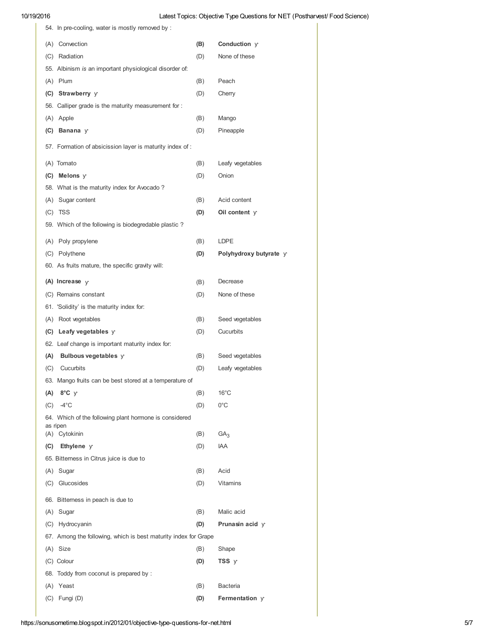| 54. In pre-cooling, water is mostly removed by:                 |     |                        |
|-----------------------------------------------------------------|-----|------------------------|
| (A) Convection                                                  | (B) | Conduction y           |
| (C) Radiation                                                   | (D) | None of these          |
| 55. Albinism is an important physiological disorder of:         |     |                        |
| (A) Plum                                                        | (B) | Peach                  |
| (C) Strawberry y                                                | (D) | Cherry                 |
| 56. Calliper grade is the maturity measurement for:             |     |                        |
| (A) Apple                                                       | (B) | Mango                  |
| (C) Banana $\gamma$                                             | (D) | Pineapple              |
| 57. Formation of absicission layer is maturity index of:        |     |                        |
| (A) Tomato                                                      | (B) | Leafy vegetables       |
| $(C)$ Melons $y$                                                | (D) | Onion                  |
| 58. What is the maturity index for Avocado?                     |     |                        |
| (A) Sugar content                                               | (B) | Acid content           |
| (C) TSS                                                         | (D) | Oil content $y$        |
| 59. Which of the following is biodegredable plastic?            |     |                        |
| (A) Poly propylene                                              | (B) | LDPE                   |
| (C) Polythene                                                   | (D) | Polyhydroxy butyrate y |
| 60. As fruits mature, the specific gravity will:                |     |                        |
| (A) Increase $\sqrt{ }$                                         | (B) | Decrease               |
| (C) Remains constant                                            | (D) | None of these          |
| 61. 'Solidity' is the maturity index for:                       |     |                        |
| (A) Root vegetables                                             | (B) | Seed vegetables        |
| (C) Leafy vegetables $y$                                        | (D) | Cucurbits              |
| 62. Leaf change is important maturity index for:                |     |                        |
| (A)<br>Bulbous vegetables y                                     | (B) | Seed vegetables        |
| Cucurbits<br>(C)                                                | (D) | Leafy vegetables       |
| 63. Mango fruits can be best stored at a temperature of         |     |                        |
| 8°C y<br>(A)                                                    | (B) | $16^{\circ}$ C         |
| $-4^{\circ}$ C<br>(C)                                           | (D) | $0^{\circ}$ C          |
| 64. Which of the following plant hormone is considered          |     |                        |
| as ripen<br>(A) Cytokinin                                       | (B) | GA <sub>3</sub>        |
| Ethylene y<br>(C)                                               | (D) | <b>IAA</b>             |
| 65. Bitterness in Citrus juice is due to                        |     |                        |
| (A) Sugar                                                       | (B) | Acid                   |
| (C) Glucosides                                                  | (D) | Vitamins               |
|                                                                 |     |                        |
| 66. Bitterness in peach is due to                               |     |                        |
| (A) Sugar                                                       | (B) | Malic acid             |
| (C) Hydrocyanin                                                 | (D) | Prunasin acid $\gamma$ |
| 67. Among the following, which is best maturity index for Grape |     |                        |
| (A) Size                                                        | (B) | Shape                  |
| (C) Colour                                                      | (D) | TSS y                  |
| 68. Toddy from coconut is prepared by:                          |     |                        |
| (A) Yeast                                                       | (B) | <b>Bacteria</b>        |
| Fungi (D)<br>(C)                                                | (D) | <b>Fermentation</b> y  |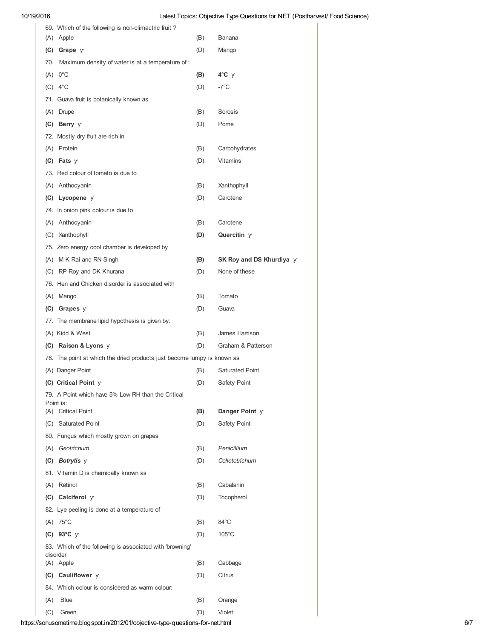| 69. Which of the following is non-climactric fruit?                     |     |                            |
|-------------------------------------------------------------------------|-----|----------------------------|
| (A) Apple                                                               | (B) | Banana                     |
| $(C)$ Grape $y$                                                         | (D) | Mango                      |
| 70. Maximum density of water is at a temperature of:                    |     |                            |
| $(A)$ 0°C                                                               | (B) | $4^{\circ}C$ y             |
| $(C)$ 4°C                                                               | (D) | $-7^{\circ}$ C             |
| 71. Guava fruit is botanically known as                                 |     |                            |
| (A) Drupe                                                               | (B) | Sorosis                    |
| (C) Berry y                                                             | (D) | Pome                       |
| 72. Mostly dry fruit are rich in                                        |     |                            |
| (A) Protein                                                             | (B) | Carbohydrates              |
| $(C)$ Fats y                                                            | (D) | <b>Vitamins</b>            |
| 73. Red colour of tomato is due to                                      |     |                            |
| (A) Anthocyanin                                                         | (B) | Xanthophyll                |
| (C) Lycopene y                                                          | (D) | Carotene                   |
| 74. In onion pink colour is due to                                      |     |                            |
|                                                                         |     |                            |
| (A) Anthocyanin                                                         | (B) | Carotene                   |
| (C) Xanthophyll                                                         | (D) | Quercitin y                |
| 75. Zero energy cool chamber is developed by                            |     |                            |
| (A) M K Rai and RN Singh                                                | (B) | SK Roy and DS Khurdiya $y$ |
| (C) RP Roy and DK Khurana                                               | (D) | None of these              |
| 76. Hen and Chicken disorder is associated with                         |     |                            |
| (A) Mango                                                               | (B) | Tomato                     |
| (C) Grapes $y$                                                          | (D) | Guava                      |
| 77. The membrane lipid hypothesis is given by:                          |     |                            |
| (A) Kidd & West                                                         | (B) | James Harrison             |
| (C) Raison & Lyons $\vee$                                               | (D) | Graham & Patterson         |
| 78. The point at which the dried products just become lumpy is known as |     |                            |
| (A) Danger Point                                                        | (B) | <b>Saturated Point</b>     |
| (C) Critical Point $y$                                                  | (D) | Safety Point               |
| 79. A Point which have 5% Low RH than the Critical                      |     |                            |
| Point is:<br>(A) Critical Point                                         | (B) | Danger Point y             |
| (C) Saturated Point                                                     | (D) | Safety Point               |
| 80. Fungus which mostly grown on grapes                                 |     |                            |
| (A) Geotrichum                                                          | (B) | Penicillium                |
| (C) Botrytis $y$                                                        | (D) | Colletotrichum             |
| 81. Vitamin D is chemically known as                                    |     |                            |
|                                                                         |     | Cabalanin                  |
| (A) Retinol                                                             | (B) |                            |
| (C) Calciferol $\gamma$                                                 | (D) | Tocopherol                 |
| 82. Lye peeling is done at a temperature of                             |     |                            |
| $(A)$ 75°C                                                              | (B) | 84°C                       |
| (C) 93°C $y$                                                            | (D) | 105°C                      |
| 83. Which of the following is associated with 'browning'<br>disorder    |     |                            |
| (A) Apple                                                               | (B) | Cabbage                    |
| (C) Cauliflower y                                                       | (D) | Citrus                     |
| 84. Which colour is considered as warm colour:                          |     |                            |
| (A)<br><b>Blue</b>                                                      | (B) | Orange                     |
| (C)<br>Green                                                            | (D) | Violet                     |

https://sonusometime.blogspot.in/2012/01/objective-type-questions-for-net.html 6/7